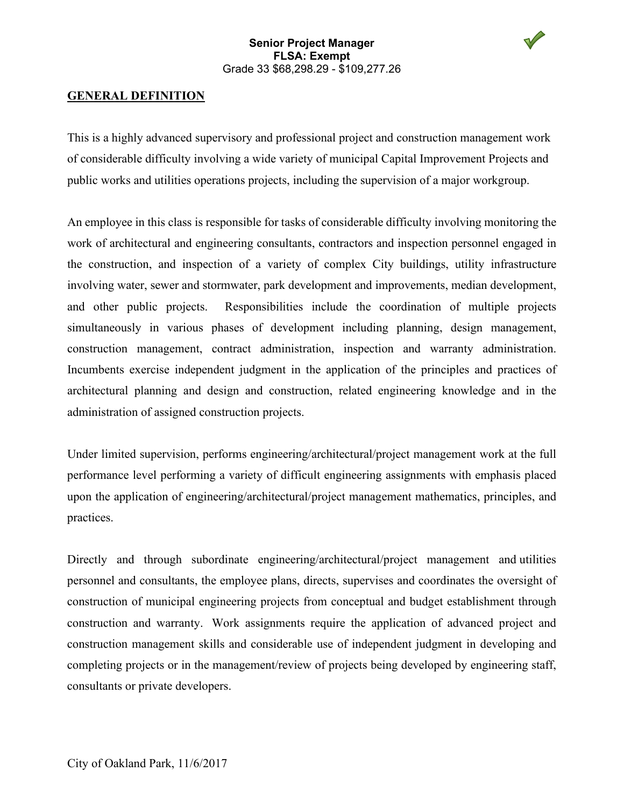

## **GENERAL DEFINITION**

This is a highly advanced supervisory and professional project and construction management work of considerable difficulty involving a wide variety of municipal Capital Improvement Projects and public works and utilities operations projects, including the supervision of a major workgroup.

An employee in this class is responsible for tasks of considerable difficulty involving monitoring the work of architectural and engineering consultants, contractors and inspection personnel engaged in the construction, and inspection of a variety of complex City buildings, utility infrastructure involving water, sewer and stormwater, park development and improvements, median development, and other public projects. Responsibilities include the coordination of multiple projects simultaneously in various phases of development including planning, design management, construction management, contract administration, inspection and warranty administration. Incumbents exercise independent judgment in the application of the principles and practices of architectural planning and design and construction, related engineering knowledge and in the administration of assigned construction projects.

Under limited supervision, performs engineering/architectural/project management work at the full performance level performing a variety of difficult engineering assignments with emphasis placed upon the application of engineering/architectural/project management mathematics, principles, and practices.

Directly and through subordinate engineering/architectural/project management and utilities personnel and consultants, the employee plans, directs, supervises and coordinates the oversight of construction of municipal engineering projects from conceptual and budget establishment through construction and warranty. Work assignments require the application of advanced project and construction management skills and considerable use of independent judgment in developing and completing projects or in the management/review of projects being developed by engineering staff, consultants or private developers.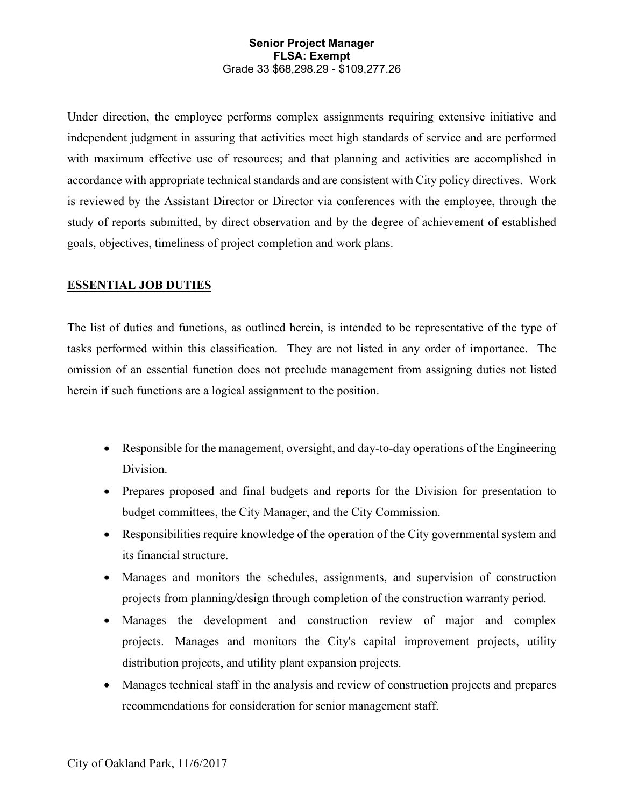Under direction, the employee performs complex assignments requiring extensive initiative and independent judgment in assuring that activities meet high standards of service and are performed with maximum effective use of resources; and that planning and activities are accomplished in accordance with appropriate technical standards and are consistent with City policy directives. Work is reviewed by the Assistant Director or Director via conferences with the employee, through the study of reports submitted, by direct observation and by the degree of achievement of established goals, objectives, timeliness of project completion and work plans.

# **ESSENTIAL JOB DUTIES**

The list of duties and functions, as outlined herein, is intended to be representative of the type of tasks performed within this classification. They are not listed in any order of importance. The omission of an essential function does not preclude management from assigning duties not listed herein if such functions are a logical assignment to the position.

- Responsible for the management, oversight, and day-to-day operations of the Engineering Division.
- Prepares proposed and final budgets and reports for the Division for presentation to budget committees, the City Manager, and the City Commission.
- Responsibilities require knowledge of the operation of the City governmental system and its financial structure.
- Manages and monitors the schedules, assignments, and supervision of construction projects from planning/design through completion of the construction warranty period.
- Manages the development and construction review of major and complex projects. Manages and monitors the City's capital improvement projects, utility distribution projects, and utility plant expansion projects.
- Manages technical staff in the analysis and review of construction projects and prepares recommendations for consideration for senior management staff.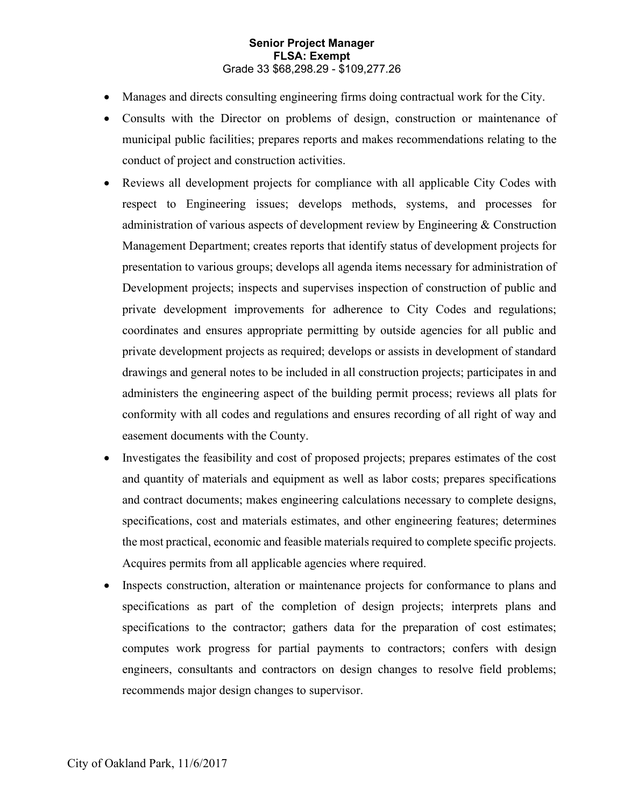- Manages and directs consulting engineering firms doing contractual work for the City.
- Consults with the Director on problems of design, construction or maintenance of municipal public facilities; prepares reports and makes recommendations relating to the conduct of project and construction activities.
- Reviews all development projects for compliance with all applicable City Codes with respect to Engineering issues; develops methods, systems, and processes for administration of various aspects of development review by Engineering & Construction Management Department; creates reports that identify status of development projects for presentation to various groups; develops all agenda items necessary for administration of Development projects; inspects and supervises inspection of construction of public and private development improvements for adherence to City Codes and regulations; coordinates and ensures appropriate permitting by outside agencies for all public and private development projects as required; develops or assists in development of standard drawings and general notes to be included in all construction projects; participates in and administers the engineering aspect of the building permit process; reviews all plats for conformity with all codes and regulations and ensures recording of all right of way and easement documents with the County.
- Investigates the feasibility and cost of proposed projects; prepares estimates of the cost and quantity of materials and equipment as well as labor costs; prepares specifications and contract documents; makes engineering calculations necessary to complete designs, specifications, cost and materials estimates, and other engineering features; determines the most practical, economic and feasible materials required to complete specific projects. Acquires permits from all applicable agencies where required.
- Inspects construction, alteration or maintenance projects for conformance to plans and specifications as part of the completion of design projects; interprets plans and specifications to the contractor; gathers data for the preparation of cost estimates; computes work progress for partial payments to contractors; confers with design engineers, consultants and contractors on design changes to resolve field problems; recommends major design changes to supervisor.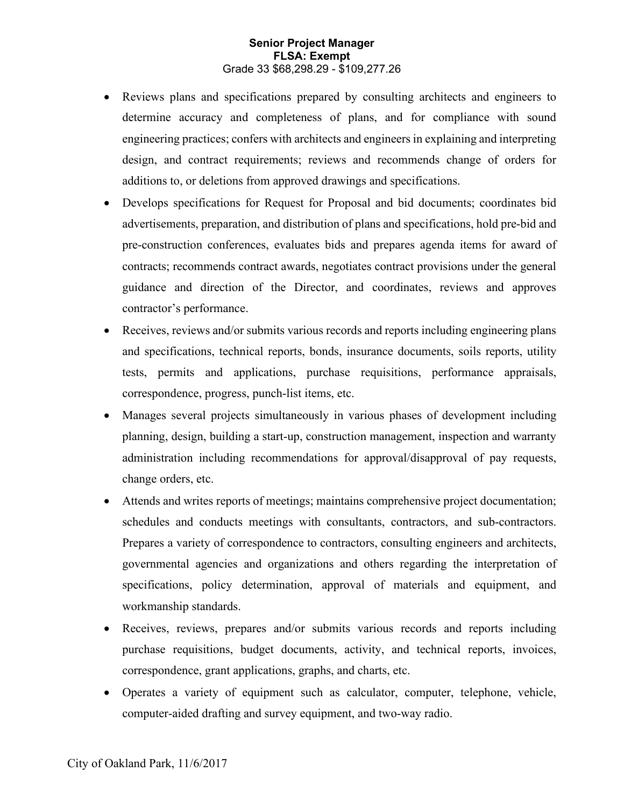- Reviews plans and specifications prepared by consulting architects and engineers to determine accuracy and completeness of plans, and for compliance with sound engineering practices; confers with architects and engineers in explaining and interpreting design, and contract requirements; reviews and recommends change of orders for additions to, or deletions from approved drawings and specifications.
- Develops specifications for Request for Proposal and bid documents; coordinates bid advertisements, preparation, and distribution of plans and specifications, hold pre-bid and pre-construction conferences, evaluates bids and prepares agenda items for award of contracts; recommends contract awards, negotiates contract provisions under the general guidance and direction of the Director, and coordinates, reviews and approves contractor's performance.
- Receives, reviews and/or submits various records and reports including engineering plans and specifications, technical reports, bonds, insurance documents, soils reports, utility tests, permits and applications, purchase requisitions, performance appraisals, correspondence, progress, punch-list items, etc.
- Manages several projects simultaneously in various phases of development including planning, design, building a start-up, construction management, inspection and warranty administration including recommendations for approval/disapproval of pay requests, change orders, etc.
- Attends and writes reports of meetings; maintains comprehensive project documentation; schedules and conducts meetings with consultants, contractors, and sub-contractors. Prepares a variety of correspondence to contractors, consulting engineers and architects, governmental agencies and organizations and others regarding the interpretation of specifications, policy determination, approval of materials and equipment, and workmanship standards.
- Receives, reviews, prepares and/or submits various records and reports including purchase requisitions, budget documents, activity, and technical reports, invoices, correspondence, grant applications, graphs, and charts, etc.
- Operates a variety of equipment such as calculator, computer, telephone, vehicle, computer-aided drafting and survey equipment, and two-way radio.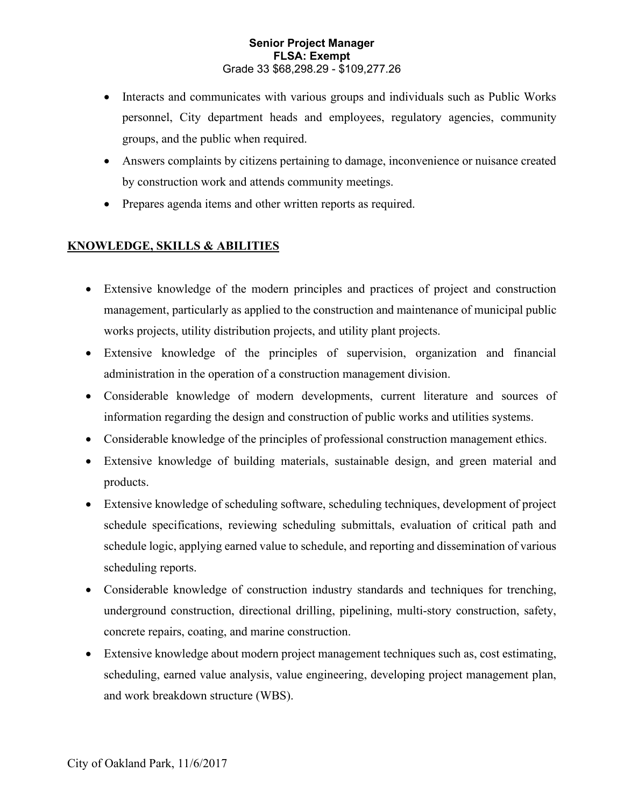- Interacts and communicates with various groups and individuals such as Public Works personnel, City department heads and employees, regulatory agencies, community groups, and the public when required.
- Answers complaints by citizens pertaining to damage, inconvenience or nuisance created by construction work and attends community meetings.
- Prepares agenda items and other written reports as required.

# **KNOWLEDGE, SKILLS & ABILITIES**

- Extensive knowledge of the modern principles and practices of project and construction management, particularly as applied to the construction and maintenance of municipal public works projects, utility distribution projects, and utility plant projects.
- Extensive knowledge of the principles of supervision, organization and financial administration in the operation of a construction management division.
- Considerable knowledge of modern developments, current literature and sources of information regarding the design and construction of public works and utilities systems.
- Considerable knowledge of the principles of professional construction management ethics.
- Extensive knowledge of building materials, sustainable design, and green material and products.
- Extensive knowledge of scheduling software, scheduling techniques, development of project schedule specifications, reviewing scheduling submittals, evaluation of critical path and schedule logic, applying earned value to schedule, and reporting and dissemination of various scheduling reports.
- Considerable knowledge of construction industry standards and techniques for trenching, underground construction, directional drilling, pipelining, multi-story construction, safety, concrete repairs, coating, and marine construction.
- Extensive knowledge about modern project management techniques such as, cost estimating, scheduling, earned value analysis, value engineering, developing project management plan, and work breakdown structure (WBS).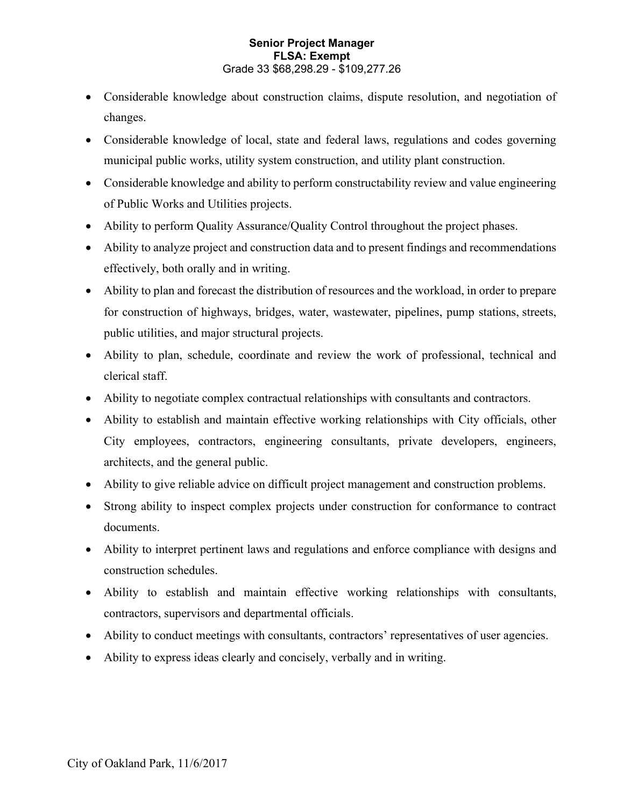- Considerable knowledge about construction claims, dispute resolution, and negotiation of changes.
- Considerable knowledge of local, state and federal laws, regulations and codes governing municipal public works, utility system construction, and utility plant construction.
- Considerable knowledge and ability to perform constructability review and value engineering of Public Works and Utilities projects.
- Ability to perform Quality Assurance/Quality Control throughout the project phases.
- Ability to analyze project and construction data and to present findings and recommendations effectively, both orally and in writing.
- Ability to plan and forecast the distribution of resources and the workload, in order to prepare for construction of highways, bridges, water, wastewater, pipelines, pump stations, streets, public utilities, and major structural projects.
- Ability to plan, schedule, coordinate and review the work of professional, technical and clerical staff.
- Ability to negotiate complex contractual relationships with consultants and contractors.
- Ability to establish and maintain effective working relationships with City officials, other City employees, contractors, engineering consultants, private developers, engineers, architects, and the general public.
- Ability to give reliable advice on difficult project management and construction problems.
- Strong ability to inspect complex projects under construction for conformance to contract documents.
- Ability to interpret pertinent laws and regulations and enforce compliance with designs and construction schedules.
- Ability to establish and maintain effective working relationships with consultants, contractors, supervisors and departmental officials.
- Ability to conduct meetings with consultants, contractors' representatives of user agencies.
- Ability to express ideas clearly and concisely, verbally and in writing.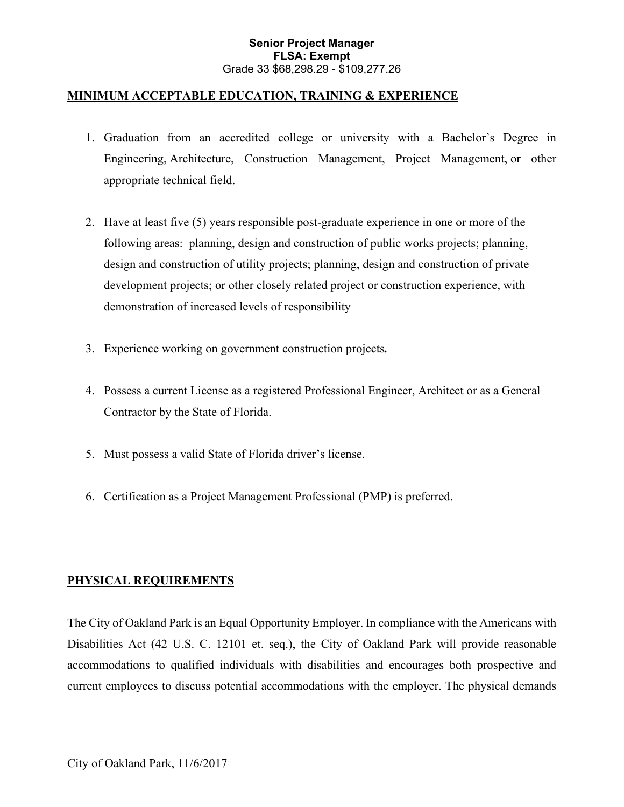## **MINIMUM ACCEPTABLE EDUCATION, TRAINING & EXPERIENCE**

- 1. Graduation from an accredited college or university with a Bachelor's Degree in Engineering, Architecture, Construction Management, Project Management, or other appropriate technical field.
- 2. Have at least five (5) years responsible post-graduate experience in one or more of the following areas: planning, design and construction of public works projects; planning, design and construction of utility projects; planning, design and construction of private development projects; or other closely related project or construction experience, with demonstration of increased levels of responsibility
- 3. Experience working on government construction projects*.*
- 4. Possess a current License as a registered Professional Engineer, Architect or as a General Contractor by the State of Florida.
- 5. Must possess a valid State of Florida driver's license.
- 6. Certification as a Project Management Professional (PMP) is preferred.

# **PHYSICAL REQUIREMENTS**

The City of Oakland Park is an Equal Opportunity Employer. In compliance with the Americans with Disabilities Act (42 U.S. C. 12101 et. seq.), the City of Oakland Park will provide reasonable accommodations to qualified individuals with disabilities and encourages both prospective and current employees to discuss potential accommodations with the employer. The physical demands